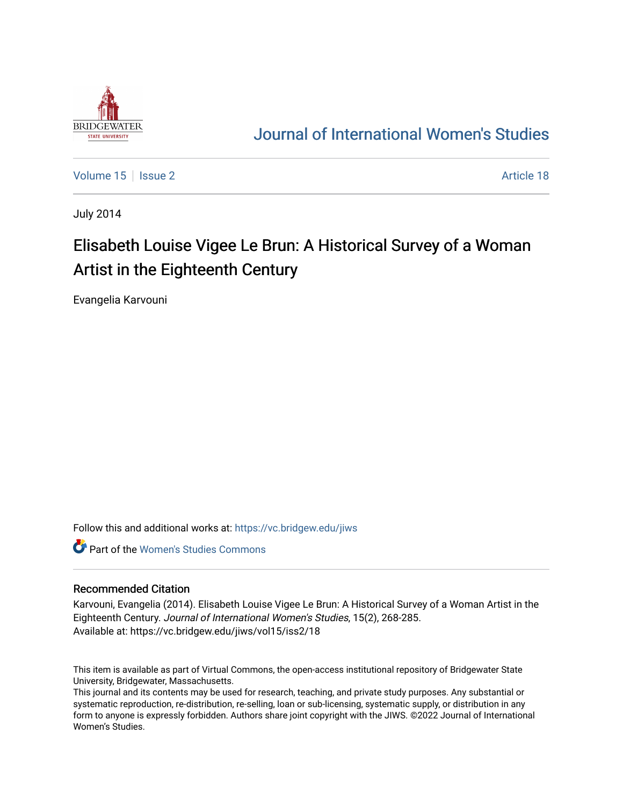

## [Journal of International Women's Studies](https://vc.bridgew.edu/jiws)

[Volume 15](https://vc.bridgew.edu/jiws/vol15) | [Issue 2](https://vc.bridgew.edu/jiws/vol15/iss2) Article 18

July 2014

# Elisabeth Louise Vigee Le Brun: A Historical Survey of a Woman Artist in the Eighteenth Century

Evangelia Karvouni

Follow this and additional works at: [https://vc.bridgew.edu/jiws](https://vc.bridgew.edu/jiws?utm_source=vc.bridgew.edu%2Fjiws%2Fvol15%2Fiss2%2F18&utm_medium=PDF&utm_campaign=PDFCoverPages)

**C** Part of the Women's Studies Commons

#### Recommended Citation

Karvouni, Evangelia (2014). Elisabeth Louise Vigee Le Brun: A Historical Survey of a Woman Artist in the Eighteenth Century. Journal of International Women's Studies, 15(2), 268-285. Available at: https://vc.bridgew.edu/jiws/vol15/iss2/18

This item is available as part of Virtual Commons, the open-access institutional repository of Bridgewater State University, Bridgewater, Massachusetts.

This journal and its contents may be used for research, teaching, and private study purposes. Any substantial or systematic reproduction, re-distribution, re-selling, loan or sub-licensing, systematic supply, or distribution in any form to anyone is expressly forbidden. Authors share joint copyright with the JIWS. ©2022 Journal of International Women's Studies.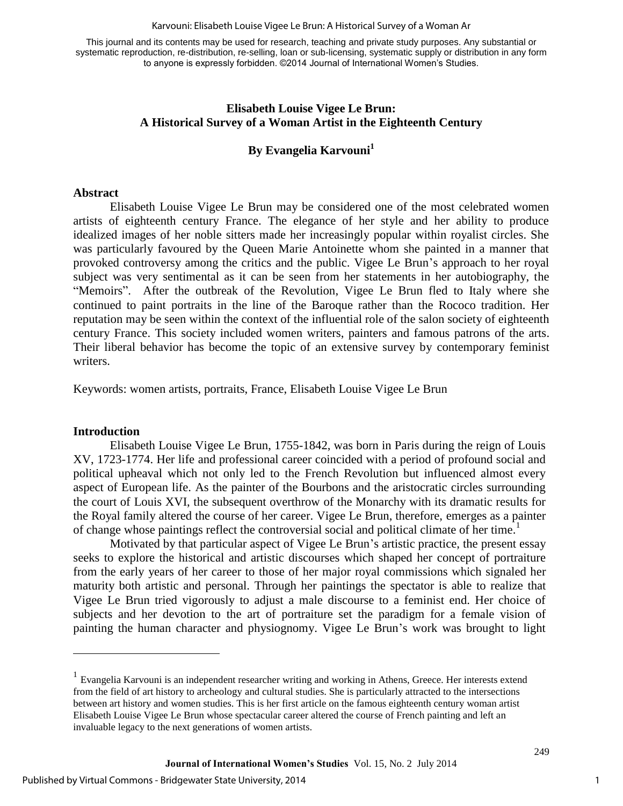#### Karvouni: Elisabeth Louise Vigee Le Brun: A Historical Survey of a Woman Ar

This journal and its contents may be used for research, teaching and private study purposes. Any substantial or systematic reproduction, re-distribution, re-selling, loan or sub-licensing, systematic supply or distribution in any form to anyone is expressly forbidden. ©2014 Journal of International Women's Studies.

## **Elisabeth Louise Vigee Le Brun: A Historical Survey of a Woman Artist in the Eighteenth Century**

## **By Evangelia Karvouni<sup>1</sup>**

#### **Abstract**

Elisabeth Louise Vigee Le Brun may be considered one of the most celebrated women artists of eighteenth century France. The elegance of her style and her ability to produce idealized images of her noble sitters made her increasingly popular within royalist circles. She was particularly favoured by the Queen Marie Antoinette whom she painted in a manner that provoked controversy among the critics and the public. Vigee Le Brun's approach to her royal subject was very sentimental as it can be seen from her statements in her autobiography, the "Memoirs". After the outbreak of the Revolution, Vigee Le Brun fled to Italy where she continued to paint portraits in the line of the Baroque rather than the Rococo tradition. Her reputation may be seen within the context of the influential role of the salon society of eighteenth century France. This society included women writers, painters and famous patrons of the arts. Their liberal behavior has become the topic of an extensive survey by contemporary feminist writers.

Keywords: women artists, portraits, France, Elisabeth Louise Vigee Le Brun

#### **Introduction**

 $\overline{a}$ 

Elisabeth Louise Vigee Le Brun, 1755-1842, was born in Paris during the reign of Louis XV, 1723-1774. Her life and professional career coincided with a period of profound social and political upheaval which not only led to the French Revolution but influenced almost every aspect of European life. As the painter of the Bourbons and the aristocratic circles surrounding the court of Louis XVI, the subsequent overthrow of the Monarchy with its dramatic results for the Royal family altered the course of her career. Vigee Le Brun, therefore, emerges as a painter of change whose paintings reflect the controversial social and political climate of her time.<sup>1</sup>

Motivated by that particular aspect of Vigee Le Brun's artistic practice, the present essay seeks to explore the historical and artistic discourses which shaped her concept of portraiture from the early years of her career to those of her major royal commissions which signaled her maturity both artistic and personal. Through her paintings the spectator is able to realize that Vigee Le Brun tried vigorously to adjust a male discourse to a feminist end. Her choice of subjects and her devotion to the art of portraiture set the paradigm for a female vision of painting the human character and physiognomy. Vigee Le Brun's work was brought to light

<sup>&</sup>lt;sup>1</sup> Evangelia Karvouni is an independent researcher writing and working in Athens, Greece. Her interests extend from the field of art history to archeology and cultural studies. She is particularly attracted to the intersections between art history and women studies. This is her first article on the famous eighteenth century woman artist Elisabeth Louise Vigee Le Brun whose spectacular career altered the course of French painting and left an invaluable legacy to the next generations of women artists.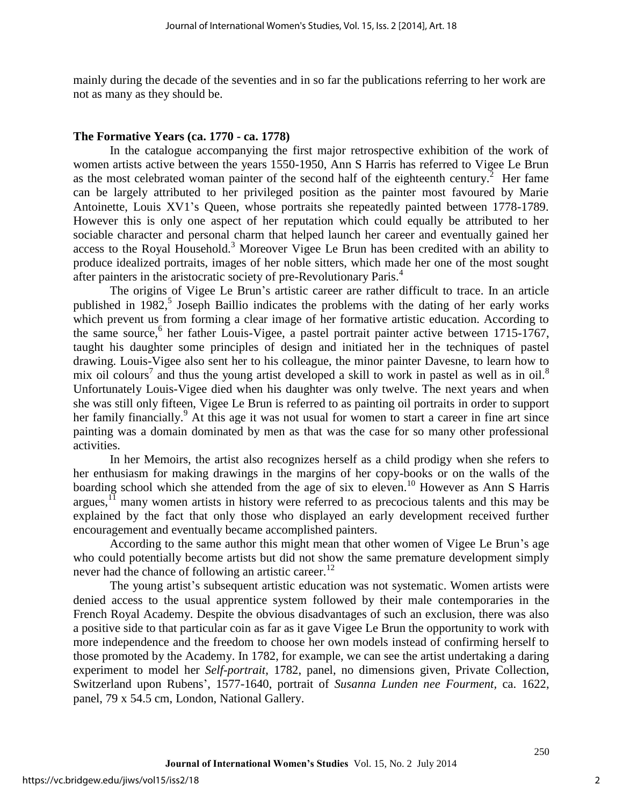mainly during the decade of the seventies and in so far the publications referring to her work are not as many as they should be.

## **The Formative Years (ca. 1770 - ca. 1778)**

In the catalogue accompanying the first major retrospective exhibition of the work of women artists active between the years 1550-1950, Ann S Harris has referred to Vigee Le Brun as the most celebrated woman painter of the second half of the eighteenth century.<sup>2</sup> Her fame can be largely attributed to her privileged position as the painter most favoured by Marie Antoinette, Louis XV1's Queen, whose portraits she repeatedly painted between 1778-1789. However this is only one aspect of her reputation which could equally be attributed to her sociable character and personal charm that helped launch her career and eventually gained her access to the Royal Household.<sup>3</sup> Moreover Vigee Le Brun has been credited with an ability to produce idealized portraits, images of her noble sitters, which made her one of the most sought after painters in the aristocratic society of pre-Revolutionary Paris.<sup>4</sup>

The origins of Vigee Le Brun's artistic career are rather difficult to trace. In an article published in  $1982$ ,<sup>5</sup> Joseph Baillio indicates the problems with the dating of her early works which prevent us from forming a clear image of her formative artistic education. According to the same source,<sup>6</sup> her father Louis-Vigee, a pastel portrait painter active between 1715-1767, taught his daughter some principles of design and initiated her in the techniques of pastel drawing. Louis-Vigee also sent her to his colleague, the minor painter Davesne, to learn how to mix oil colours<sup>7</sup> and thus the young artist developed a skill to work in pastel as well as in oil.<sup>8</sup> Unfortunately Louis-Vigee died when his daughter was only twelve. The next years and when she was still only fifteen, Vigee Le Brun is referred to as painting oil portraits in order to support her family financially.<sup>9</sup> At this age it was not usual for women to start a career in fine art since painting was a domain dominated by men as that was the case for so many other professional activities.

In her Memoirs, the artist also recognizes herself as a child prodigy when she refers to her enthusiasm for making drawings in the margins of her copy-books or on the walls of the boarding school which she attended from the age of six to eleven.<sup>10</sup> However as Ann S Harris argues, $1\overline{1}$  many women artists in history were referred to as precocious talents and this may be explained by the fact that only those who displayed an early development received further encouragement and eventually became accomplished painters.

According to the same author this might mean that other women of Vigee Le Brun's age who could potentially become artists but did not show the same premature development simply never had the chance of following an artistic career.<sup>12</sup>

The young artist's subsequent artistic education was not systematic. Women artists were denied access to the usual apprentice system followed by their male contemporaries in the French Royal Academy. Despite the obvious disadvantages of such an exclusion, there was also a positive side to that particular coin as far as it gave Vigee Le Brun the opportunity to work with more independence and the freedom to choose her own models instead of confirming herself to those promoted by the Academy. In 1782, for example, we can see the artist undertaking a daring experiment to model her *Self-portrait*, 1782, panel, no dimensions given, Private Collection, Switzerland upon Rubens', 1577-1640, portrait of *Susanna Lunden nee Fourment,* ca. 1622, panel, 79 x 54.5 cm, London, National Gallery.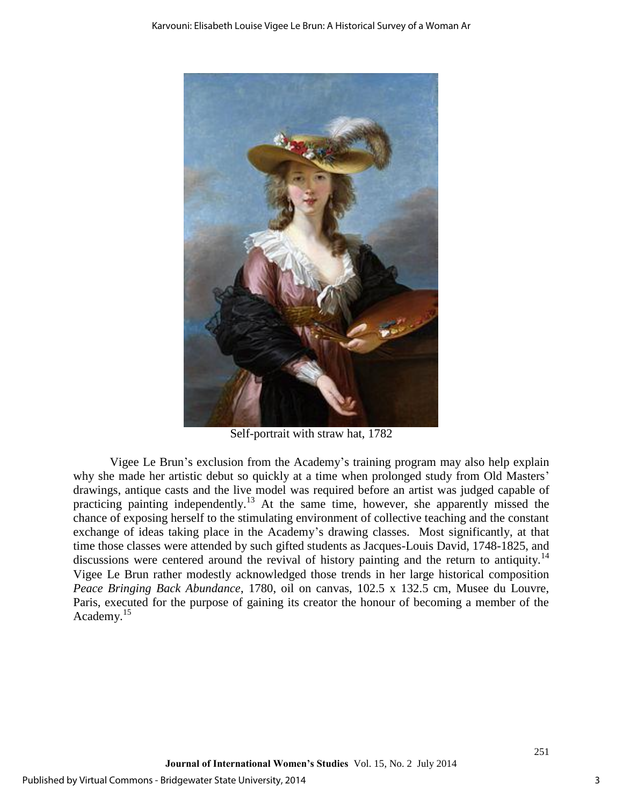

Self-portrait with straw hat, 1782

Vigee Le Brun's exclusion from the Academy's training program may also help explain why she made her artistic debut so quickly at a time when prolonged study from Old Masters' drawings, antique casts and the live model was required before an artist was judged capable of practicing painting independently.<sup>13</sup> At the same time, however, she apparently missed the chance of exposing herself to the stimulating environment of collective teaching and the constant exchange of ideas taking place in the Academy's drawing classes. Most significantly, at that time those classes were attended by such gifted students as Jacques-Louis David, 1748-1825, and discussions were centered around the revival of history painting and the return to antiquity.<sup>14</sup> Vigee Le Brun rather modestly acknowledged those trends in her large historical composition *Peace Bringing Back Abundance*, 1780, oil on canvas, 102.5 x 132.5 cm, Musee du Louvre, Paris, executed for the purpose of gaining its creator the honour of becoming a member of the Academy.<sup>15</sup>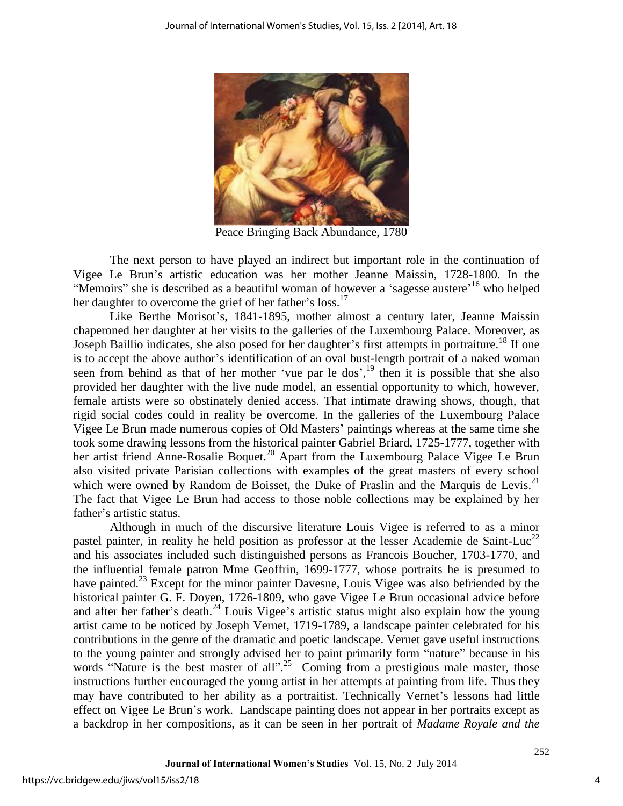

Peace Bringing Back Abundance, 1780

The next person to have played an indirect but important role in the continuation of Vigee Le Brun's artistic education was her mother Jeanne Maissin, 1728-1800. In the "Memoirs" she is described as a beautiful woman of however a 'sagesse austere'<sup>16</sup> who helped her daughter to overcome the grief of her father's loss.<sup>17</sup>

Like Berthe Morisot's, 1841-1895, mother almost a century later, Jeanne Maissin chaperoned her daughter at her visits to the galleries of the Luxembourg Palace. Moreover, as Joseph Baillio indicates, she also posed for her daughter's first attempts in portraiture.<sup>18</sup> If one is to accept the above author's identification of an oval bust-length portrait of a naked woman seen from behind as that of her mother 'vue par le dos', $^{19}$  then it is possible that she also provided her daughter with the live nude model, an essential opportunity to which, however, female artists were so obstinately denied access. That intimate drawing shows, though, that rigid social codes could in reality be overcome. In the galleries of the Luxembourg Palace Vigee Le Brun made numerous copies of Old Masters' paintings whereas at the same time she took some drawing lessons from the historical painter Gabriel Briard, 1725-1777, together with her artist friend Anne-Rosalie Boquet.<sup>20</sup> Apart from the Luxembourg Palace Vigee Le Brun also visited private Parisian collections with examples of the great masters of every school which were owned by Random de Boisset, the Duke of Praslin and the Marquis de Levis.<sup>21</sup> The fact that Vigee Le Brun had access to those noble collections may be explained by her father's artistic status.

Although in much of the discursive literature Louis Vigee is referred to as a minor pastel painter, in reality he held position as professor at the lesser Academie de Saint-Luc<sup>22</sup> and his associates included such distinguished persons as Francois Boucher, 1703-1770, and the influential female patron Mme Geoffrin, 1699-1777, whose portraits he is presumed to have painted.<sup>23</sup> Except for the minor painter Davesne, Louis Vigee was also befriended by the historical painter G. F. Doyen, 1726-1809, who gave Vigee Le Brun occasional advice before and after her father's death.<sup>24</sup> Louis Vigee's artistic status might also explain how the young artist came to be noticed by Joseph Vernet, 1719-1789, a landscape painter celebrated for his contributions in the genre of the dramatic and poetic landscape. Vernet gave useful instructions to the young painter and strongly advised her to paint primarily form "nature" because in his words "Nature is the best master of all".<sup>25</sup> Coming from a prestigious male master, those instructions further encouraged the young artist in her attempts at painting from life. Thus they may have contributed to her ability as a portraitist. Technically Vernet's lessons had little effect on Vigee Le Brun's work. Landscape painting does not appear in her portraits except as a backdrop in her compositions, as it can be seen in her portrait of *Madame Royale and the*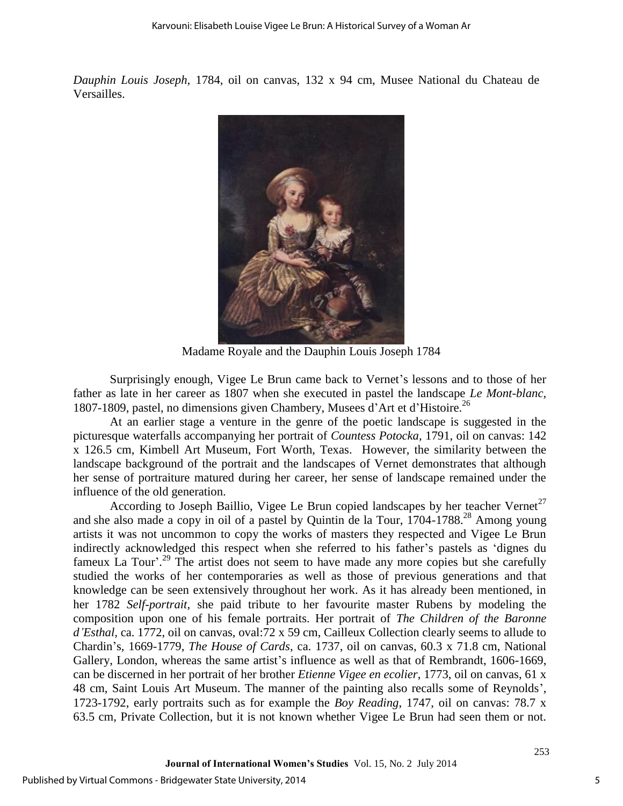*Dauphin Louis Joseph,* 1784, oil on canvas, 132 x 94 cm, Musee National du Chateau de Versailles.



Madame Royale and the Dauphin Louis Joseph 1784

Surprisingly enough, Vigee Le Brun came back to Vernet's lessons and to those of her father as late in her career as 1807 when she executed in pastel the landscape *Le Mont-blanc,* 1807-1809, pastel, no dimensions given Chambery, Musees d'Art et d'Histoire.<sup>26</sup>

At an earlier stage a venture in the genre of the poetic landscape is suggested in the picturesque waterfalls accompanying her portrait of *Countess Potocka,* 1791, oil on canvas: 142 x 126.5 cm, Kimbell Art Museum, Fort Worth, Texas. However, the similarity between the landscape background of the portrait and the landscapes of Vernet demonstrates that although her sense of portraiture matured during her career, her sense of landscape remained under the influence of the old generation.

According to Joseph Baillio, Vigee Le Brun copied landscapes by her teacher Vernet<sup>27</sup> and she also made a copy in oil of a pastel by Quintin de la Tour, 1704-1788. <sup>28</sup> Among young artists it was not uncommon to copy the works of masters they respected and Vigee Le Brun indirectly acknowledged this respect when she referred to his father's pastels as 'dignes du fameux La Tour'.<sup>29</sup> The artist does not seem to have made any more copies but she carefully studied the works of her contemporaries as well as those of previous generations and that knowledge can be seen extensively throughout her work. As it has already been mentioned, in her 1782 *Self-portrait,* she paid tribute to her favourite master Rubens by modeling the composition upon one of his female portraits. Her portrait of *The Children of the Baronne d'Esthal,* ca. 1772, oil on canvas, oval:72 x 59 cm, Cailleux Collection clearly seems to allude to Chardin's, 1669-1779, *The House of Cards*, ca. 1737, oil on canvas, 60.3 x 71.8 cm, National Gallery, London, whereas the same artist's influence as well as that of Rembrandt, 1606-1669, can be discerned in her portrait of her brother *Etienne Vigee en ecolier*, 1773, oil on canvas, 61 x 48 cm, Saint Louis Art Museum. The manner of the painting also recalls some of Reynolds', 1723-1792, early portraits such as for example the *Boy Reading*, 1747, oil on canvas: 78.7 x 63.5 cm, Private Collection, but it is not known whether Vigee Le Brun had seen them or not.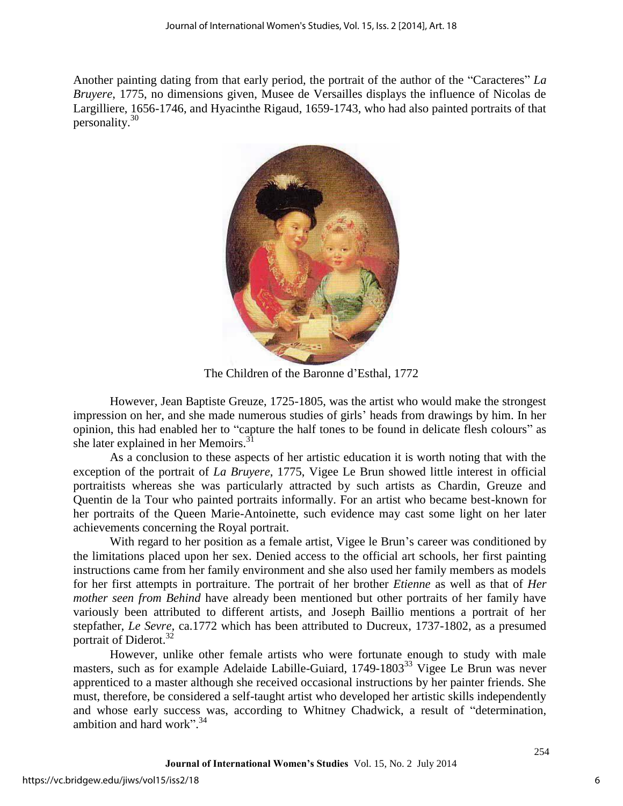Another painting dating from that early period, the portrait of the author of the "Caracteres" *La Bruyere*, 1775, no dimensions given, Musee de Versailles displays the influence of Nicolas de Largilliere, 1656-1746, and Hyacinthe Rigaud, 1659-1743, who had also painted portraits of that personality.<sup>30</sup>



The Children of the Baronne d'Esthal, 1772

However, Jean Baptiste Greuze, 1725-1805, was the artist who would make the strongest impression on her, and she made numerous studies of girls' heads from drawings by him. In her opinion, this had enabled her to "capture the half tones to be found in delicate flesh colours" as she later explained in her Memoirs. $31$ 

As a conclusion to these aspects of her artistic education it is worth noting that with the exception of the portrait of *La Bruyere*, 1775, Vigee Le Brun showed little interest in official portraitists whereas she was particularly attracted by such artists as Chardin, Greuze and Quentin de la Tour who painted portraits informally. For an artist who became best-known for her portraits of the Queen Marie-Antoinette, such evidence may cast some light on her later achievements concerning the Royal portrait.

With regard to her position as a female artist, Vigee le Brun's career was conditioned by the limitations placed upon her sex. Denied access to the official art schools, her first painting instructions came from her family environment and she also used her family members as models for her first attempts in portraiture. The portrait of her brother *Etienne* as well as that of *Her mother seen from Behind* have already been mentioned but other portraits of her family have variously been attributed to different artists, and Joseph Baillio mentions a portrait of her stepfather, *Le Sevre,* ca.1772 which has been attributed to Ducreux, 1737-1802, as a presumed portrait of Diderot.<sup>32</sup>

However, unlike other female artists who were fortunate enough to study with male masters, such as for example Adelaide Labille-Guiard, 1749-1803<sup>33</sup> Vigee Le Brun was never apprenticed to a master although she received occasional instructions by her painter friends. She must, therefore, be considered a self-taught artist who developed her artistic skills independently and whose early success was, according to Whitney Chadwick, a result of "determination, ambition and hard work".<sup>34</sup>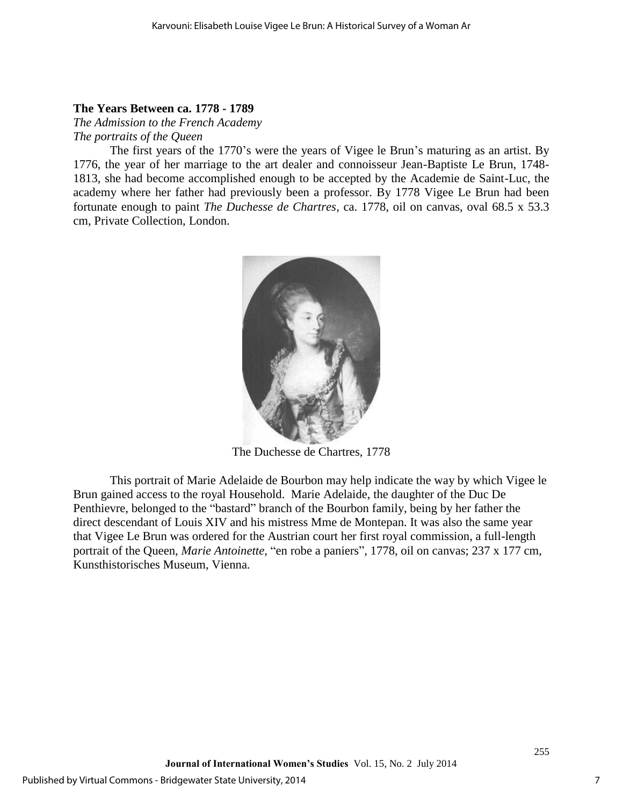## **The Years Between ca. 1778 - 1789**

*The Admission to the French Academy The portraits of the Queen* 

The first years of the 1770's were the years of Vigee le Brun's maturing as an artist. By 1776, the year of her marriage to the art dealer and connoisseur Jean-Baptiste Le Brun, 1748- 1813, she had become accomplished enough to be accepted by the Academie de Saint-Luc, the academy where her father had previously been a professor. By 1778 Vigee Le Brun had been fortunate enough to paint *The Duchesse de Chartres*, ca. 1778, oil on canvas, oval 68.5 x 53.3 cm, Private Collection, London.



The Duchesse de Chartres, 1778

This portrait of Marie Adelaide de Bourbon may help indicate the way by which Vigee le Brun gained access to the royal Household. Marie Adelaide, the daughter of the Duc De Penthievre, belonged to the "bastard" branch of the Bourbon family, being by her father the direct descendant of Louis XIV and his mistress Mme de Montepan. It was also the same year that Vigee Le Brun was ordered for the Austrian court her first royal commission, a full-length portrait of the Queen, *Marie Antoinette*, "en robe a paniers", 1778, oil on canvas; 237 x 177 cm, Kunsthistorisches Museum, Vienna.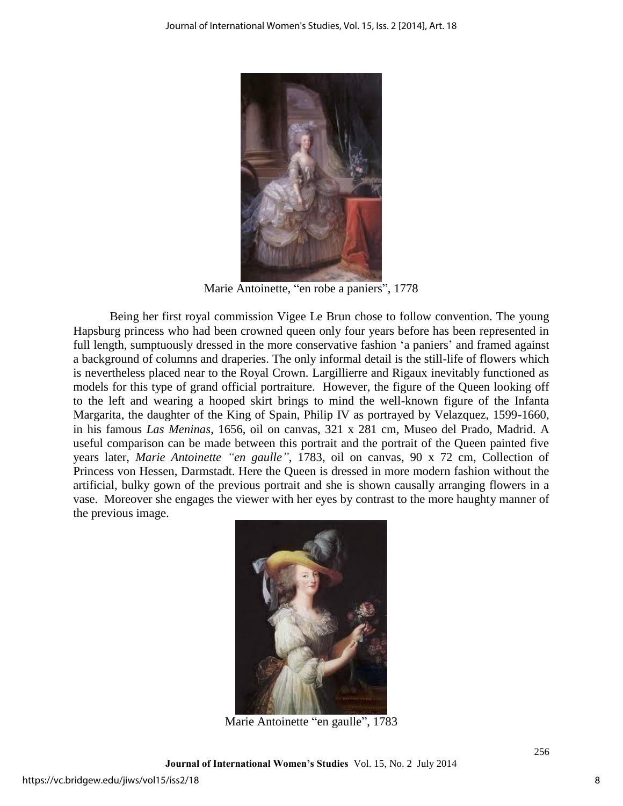

Marie Antoinette, "en robe a paniers", 1778

Being her first royal commission Vigee Le Brun chose to follow convention. The young Hapsburg princess who had been crowned queen only four years before has been represented in full length, sumptuously dressed in the more conservative fashion 'a paniers' and framed against a background of columns and draperies. The only informal detail is the still-life of flowers which is nevertheless placed near to the Royal Crown. Largillierre and Rigaux inevitably functioned as models for this type of grand official portraiture. However, the figure of the Queen looking off to the left and wearing a hooped skirt brings to mind the well-known figure of the Infanta Margarita, the daughter of the King of Spain, Philip IV as portrayed by Velazquez, 1599-1660, in his famous *Las Meninas*, 1656, oil on canvas, 321 x 281 cm, Museo del Prado, Madrid. A useful comparison can be made between this portrait and the portrait of the Queen painted five years later, *Marie Antoinette "en gaulle"*, 1783, oil on canvas, 90 x 72 cm, Collection of Princess von Hessen, Darmstadt. Here the Queen is dressed in more modern fashion without the artificial, bulky gown of the previous portrait and she is shown causally arranging flowers in a vase. Moreover she engages the viewer with her eyes by contrast to the more haughty manner of the previous image.



Marie Antoinette "en gaulle", 1783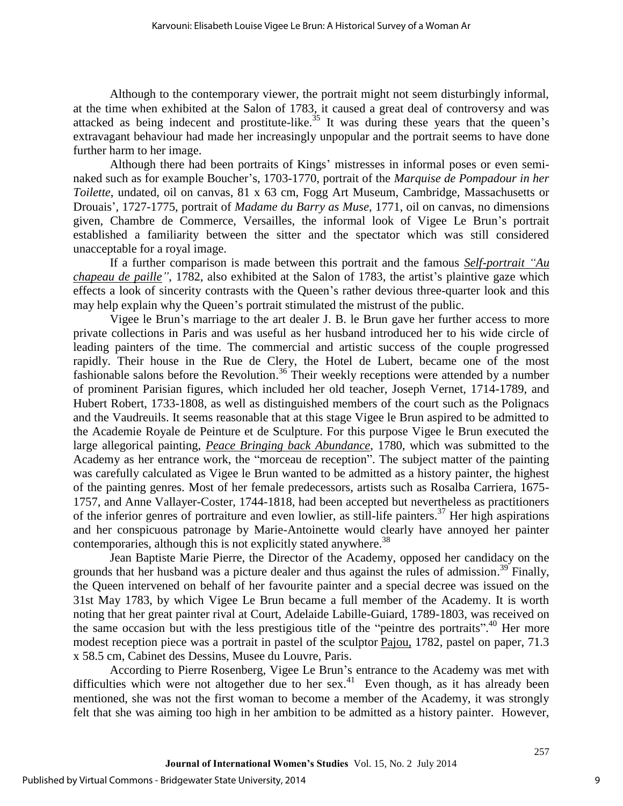Although to the contemporary viewer, the portrait might not seem disturbingly informal, at the time when exhibited at the Salon of 1783, it caused a great deal of controversy and was attacked as being indecent and prostitute-like.<sup>35</sup> It was during these years that the queen's extravagant behaviour had made her increasingly unpopular and the portrait seems to have done further harm to her image.

Although there had been portraits of Kings' mistresses in informal poses or even seminaked such as for example Boucher's, 1703-1770, portrait of the *Marquise de Pompadour in her Toilette*, undated, oil on canvas, 81 x 63 cm, Fogg Art Museum, Cambridge, Massachusetts or Drouais', 1727-1775, portrait of *Madame du Barry as Muse*, 1771, oil on canvas, no dimensions given, Chambre de Commerce, Versailles, the informal look of Vigee Le Brun's portrait established a familiarity between the sitter and the spectator which was still considered unacceptable for a royal image.

If a further comparison is made between this portrait and the famous *Self-portrait "Au chapeau de paille"*, 1782, also exhibited at the Salon of 1783, the artist's plaintive gaze which effects a look of sincerity contrasts with the Queen's rather devious three-quarter look and this may help explain why the Queen's portrait stimulated the mistrust of the public.

Vigee le Brun's marriage to the art dealer J. B. le Brun gave her further access to more private collections in Paris and was useful as her husband introduced her to his wide circle of leading painters of the time. The commercial and artistic success of the couple progressed rapidly. Their house in the Rue de Clery, the Hotel de Lubert, became one of the most fashionable salons before the Revolution.<sup>36</sup> Their weekly receptions were attended by a number of prominent Parisian figures, which included her old teacher, Joseph Vernet, 1714-1789, and Hubert Robert, 1733-1808, as well as distinguished members of the court such as the Polignacs and the Vaudreuils. It seems reasonable that at this stage Vigee le Brun aspired to be admitted to the Academie Royale de Peinture et de Sculpture. For this purpose Vigee le Brun executed the large allegorical painting, *Peace Bringing back Abundance*, 1780, which was submitted to the Academy as her entrance work, the "morceau de reception". The subject matter of the painting was carefully calculated as Vigee le Brun wanted to be admitted as a history painter, the highest of the painting genres. Most of her female predecessors, artists such as Rosalba Carriera, 1675- 1757, and Anne Vallayer-Coster, 1744-1818, had been accepted but nevertheless as practitioners of the inferior genres of portraiture and even lowlier, as still-life painters.<sup>37</sup> Her high aspirations and her conspicuous patronage by Marie-Antoinette would clearly have annoyed her painter contemporaries, although this is not explicitly stated anywhere.<sup>38</sup>

Jean Baptiste Marie Pierre, the Director of the Academy, opposed her candidacy on the grounds that her husband was a picture dealer and thus against the rules of admission.<sup>39</sup> Finally, the Queen intervened on behalf of her favourite painter and a special decree was issued on the 31st May 1783, by which Vigee Le Brun became a full member of the Academy. It is worth noting that her great painter rival at Court, Adelaide Labille-Guiard, 1789-1803, was received on the same occasion but with the less prestigious title of the "peintre des portraits".<sup>40</sup> Her more modest reception piece was a portrait in pastel of the sculptor Pajou, 1782, pastel on paper, 71.3 x 58.5 cm, Cabinet des Dessins, Musee du Louvre, Paris.

According to Pierre Rosenberg, Vigee Le Brun's entrance to the Academy was met with difficulties which were not altogether due to her sex.<sup>41</sup> Even though, as it has already been mentioned, she was not the first woman to become a member of the Academy, it was strongly felt that she was aiming too high in her ambition to be admitted as a history painter. However,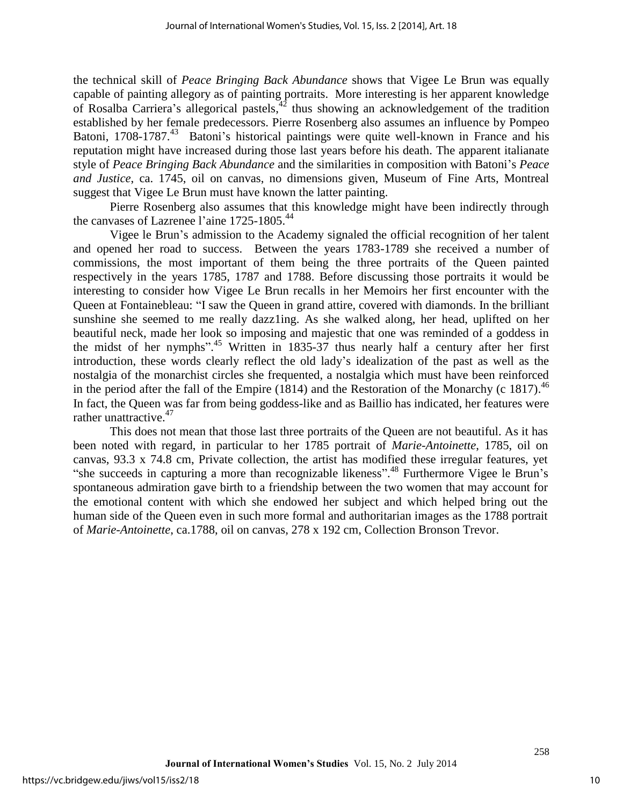the technical skill of *Peace Bringing Back Abundance* shows that Vigee Le Brun was equally capable of painting allegory as of painting portraits. More interesting is her apparent knowledge of Rosalba Carriera's allegorical pastels, $42$  thus showing an acknowledgement of the tradition established by her female predecessors. Pierre Rosenberg also assumes an influence by Pompeo Batoni, 1708-1787.<sup>43</sup> Batoni's historical paintings were quite well-known in France and his reputation might have increased during those last years before his death. The apparent italianate style of *Peace Bringing Back Abundance* and the similarities in composition with Batoni's *Peace and Justice*, ca. 1745, oil on canvas, no dimensions given, Museum of Fine Arts, Montreal suggest that Vigee Le Brun must have known the latter painting.

Pierre Rosenberg also assumes that this knowledge might have been indirectly through the canvases of Lazrenee l'aine 1725-1805.<sup>44</sup>

Vigee le Brun's admission to the Academy signaled the official recognition of her talent and opened her road to success. Between the years 1783-1789 she received a number of commissions, the most important of them being the three portraits of the Queen painted respectively in the years 1785, 1787 and 1788. Before discussing those portraits it would be interesting to consider how Vigee Le Brun recalls in her Memoirs her first encounter with the Queen at Fontainebleau: "I saw the Queen in grand attire, covered with diamonds. In the brilliant sunshine she seemed to me really dazz1ing. As she walked along, her head, uplifted on her beautiful neck, made her look so imposing and majestic that one was reminded of a goddess in the midst of her nymphs".<sup>45</sup> Written in 1835-37 thus nearly half a century after her first introduction, these words clearly reflect the old lady's idealization of the past as well as the nostalgia of the monarchist circles she frequented, a nostalgia which must have been reinforced in the period after the fall of the Empire  $(1814)$  and the Restoration of the Monarchy (c 1817).<sup>46</sup> In fact, the Queen was far from being goddess-like and as Baillio has indicated, her features were rather unattractive.<sup>47</sup>

This does not mean that those last three portraits of the Queen are not beautiful. As it has been noted with regard, in particular to her 1785 portrait of *Marie-Antoinette*, 1785, oil on canvas, 93.3 x 74.8 cm, Private collection, the artist has modified these irregular features, yet "she succeeds in capturing a more than recognizable likeness". <sup>48</sup> Furthermore Vigee le Brun's spontaneous admiration gave birth to a friendship between the two women that may account for the emotional content with which she endowed her subject and which helped bring out the human side of the Queen even in such more formal and authoritarian images as the 1788 portrait of *Marie-Antoinette*, ca.1788, oil on canvas, 278 x 192 cm, Collection Bronson Trevor.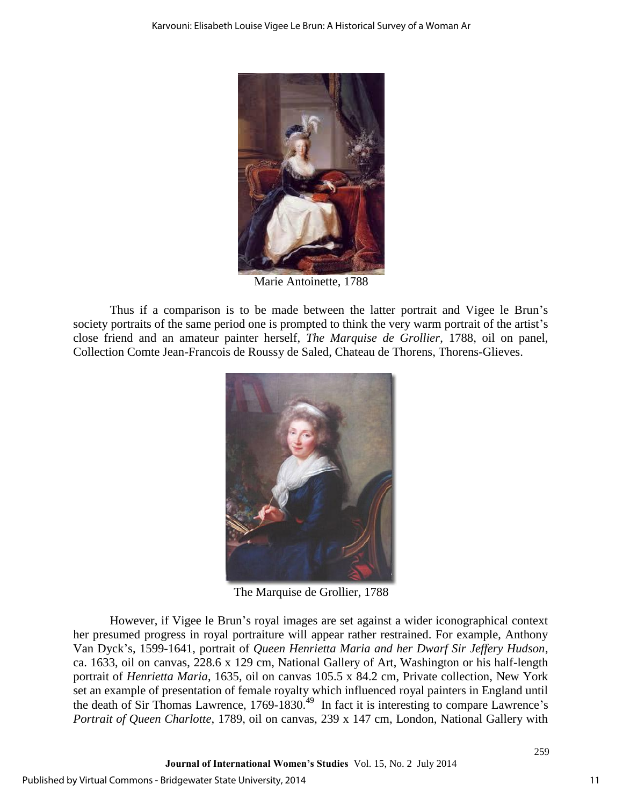

Marie Antoinette, 1788

Thus if a comparison is to be made between the latter portrait and Vigee le Brun's society portraits of the same period one is prompted to think the very warm portrait of the artist's close friend and an amateur painter herself, *The Marquise de Grollier*, 1788, oil on panel, Collection Comte Jean-Francois de Roussy de Saled, Chateau de Thorens, Thorens-Glieves.



The Marquise de Grollier, 1788

However, if Vigee le Brun's royal images are set against a wider iconographical context her presumed progress in royal portraiture will appear rather restrained. For example, Anthony Van Dyck's, 1599-1641, portrait of *Queen Henrietta Maria and her Dwarf Sir Jeffery Hudson*, ca. 1633, oil on canvas, 228.6 x 129 cm, National Gallery of Art, Washington or his half-length portrait of *Henrietta Maria*, 1635, oil on canvas 105.5 x 84.2 cm, Private collection, New York set an example of presentation of female royalty which influenced royal painters in England until the death of Sir Thomas Lawrence, 1769-1830.<sup>49</sup> In fact it is interesting to compare Lawrence's *Portrait of Queen Charlotte*, 1789, oil on canvas, 239 x 147 cm, London, National Gallery with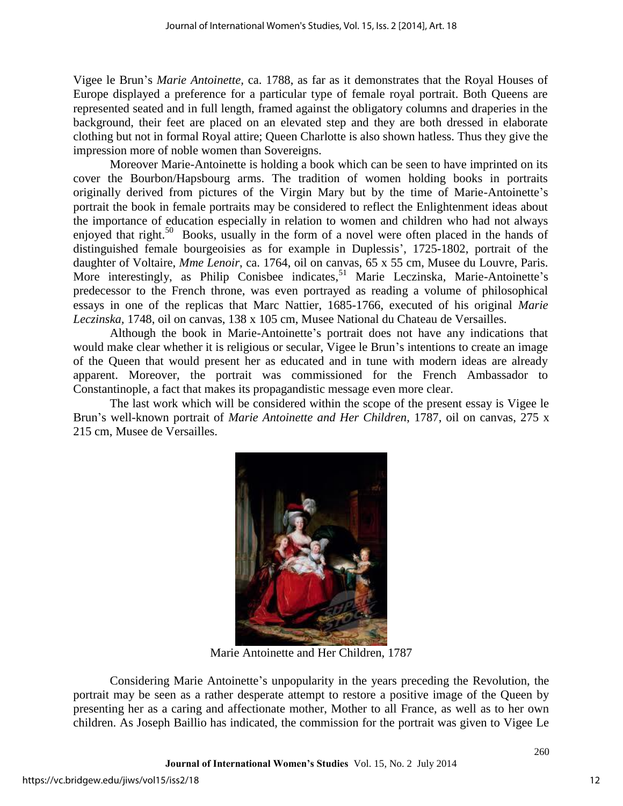Vigee le Brun's *Marie Antoinette,* ca. 1788, as far as it demonstrates that the Royal Houses of Europe displayed a preference for a particular type of female royal portrait. Both Queens are represented seated and in full length, framed against the obligatory columns and draperies in the background, their feet are placed on an elevated step and they are both dressed in elaborate clothing but not in formal Royal attire; Queen Charlotte is also shown hatless. Thus they give the impression more of noble women than Sovereigns.

Moreover Marie-Antoinette is holding a book which can be seen to have imprinted on its cover the Bourbon/Hapsbourg arms. The tradition of women holding books in portraits originally derived from pictures of the Virgin Mary but by the time of Marie-Antoinette's portrait the book in female portraits may be considered to reflect the Enlightenment ideas about the importance of education especially in relation to women and children who had not always enjoyed that right.<sup>50</sup> Books, usually in the form of a novel were often placed in the hands of distinguished female bourgeoisies as for example in Duplessis', 1725-1802, portrait of the daughter of Voltaire, *Mme Lenoir*, ca. 1764, oil on canvas, 65 x 55 cm, Musee du Louvre, Paris. More interestingly, as Philip Conisbee indicates,<sup>51</sup> Marie Leczinska, Marie-Antoinette's predecessor to the French throne, was even portrayed as reading a volume of philosophical essays in one of the replicas that Marc Nattier, 1685-1766, executed of his original *Marie Leczinska,* 1748, oil on canvas, 138 x 105 cm, Musee National du Chateau de Versailles.

Although the book in Marie-Antoinette's portrait does not have any indications that would make clear whether it is religious or secular, Vigee le Brun's intentions to create an image of the Queen that would present her as educated and in tune with modern ideas are already apparent. Moreover, the portrait was commissioned for the French Ambassador to Constantinople, a fact that makes its propagandistic message even more clear.

The last work which will be considered within the scope of the present essay is Vigee le Brun's well-known portrait of *Marie Antoinette and Her Children*, 1787, oil on canvas, 275 x 215 cm, Musee de Versailles.



Marie Antoinette and Her Children, 1787

Considering Marie Antoinette's unpopularity in the years preceding the Revolution, the portrait may be seen as a rather desperate attempt to restore a positive image of the Queen by presenting her as a caring and affectionate mother, Mother to all France, as well as to her own children. As Joseph Baillio has indicated, the commission for the portrait was given to Vigee Le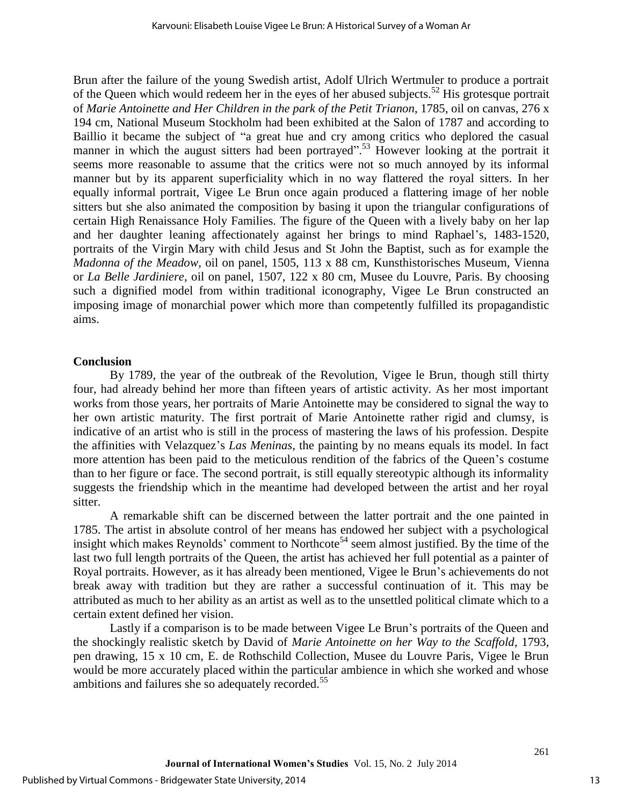Brun after the failure of the young Swedish artist, Adolf Ulrich Wertmuler to produce a portrait of the Queen which would redeem her in the eyes of her abused subjects.<sup>52</sup> His grotesque portrait of *Marie Antoinette and Her Children in the park of the Petit Trianon*, 1785, oil on canvas, 276 x 194 cm, National Museum Stockholm had been exhibited at the Salon of 1787 and according to Baillio it became the subject of "a great hue and cry among critics who deplored the casual manner in which the august sitters had been portrayed".<sup>53</sup> However looking at the portrait it seems more reasonable to assume that the critics were not so much annoyed by its informal manner but by its apparent superficiality which in no way flattered the royal sitters. In her equally informal portrait, Vigee Le Brun once again produced a flattering image of her noble sitters but she also animated the composition by basing it upon the triangular configurations of certain High Renaissance Holy Families. The figure of the Queen with a lively baby on her lap and her daughter leaning affectionately against her brings to mind Raphael's, 1483-1520, portraits of the Virgin Mary with child Jesus and St John the Baptist, such as for example the *Madonna of the Meadow*, oil on panel, 1505, 113 x 88 cm, Kunsthistorisches Museum, Vienna or *La Belle Jardiniere*, oil on panel, 1507, 122 x 80 cm, Musee du Louvre, Paris. By choosing such a dignified model from within traditional iconography, Vigee Le Brun constructed an imposing image of monarchial power which more than competently fulfilled its propagandistic aims.

### **Conclusion**

By 1789, the year of the outbreak of the Revolution, Vigee le Brun, though still thirty four, had already behind her more than fifteen years of artistic activity. As her most important works from those years, her portraits of Marie Antoinette may be considered to signal the way to her own artistic maturity. The first portrait of Marie Antoinette rather rigid and clumsy, is indicative of an artist who is still in the process of mastering the laws of his profession. Despite the affinities with Velazquez's *Las Meninas*, the painting by no means equals its model. In fact more attention has been paid to the meticulous rendition of the fabrics of the Queen's costume than to her figure or face. The second portrait, is still equally stereotypic although its informality suggests the friendship which in the meantime had developed between the artist and her royal sitter.

A remarkable shift can be discerned between the latter portrait and the one painted in 1785. The artist in absolute control of her means has endowed her subject with a psychological insight which makes Reynolds' comment to Northcote<sup>54</sup> seem almost justified. By the time of the last two full length portraits of the Queen, the artist has achieved her full potential as a painter of Royal portraits. However, as it has already been mentioned, Vigee le Brun's achievements do not break away with tradition but they are rather a successful continuation of it. This may be attributed as much to her ability as an artist as well as to the unsettled political climate which to a certain extent defined her vision.

Lastly if a comparison is to be made between Vigee Le Brun's portraits of the Queen and the shockingly realistic sketch by David of *Marie Antoinette on her Way to the Scaffold*, 1793, pen drawing, 15 x 10 cm, E. de Rothschild Collection, Musee du Louvre Paris, Vigee le Brun would be more accurately placed within the particular ambience in which she worked and whose ambitions and failures she so adequately recorded.<sup>55</sup>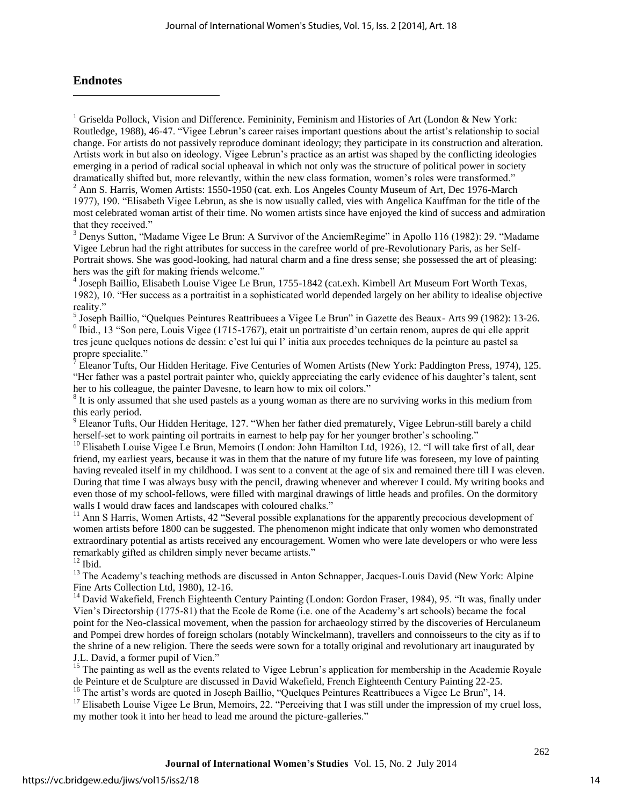## **Endnotes**

 $\overline{a}$ 

<sup>1</sup> Griselda Pollock, Vision and Difference. Femininity, Feminism and Histories of Art (London & New York: Routledge, 1988), 46-47. "Vigee Lebrun's career raises important questions about the artist's relationship to social change. For artists do not passively reproduce dominant ideology; they participate in its construction and alteration. Artists work in but also on ideology. Vigee Lebrun's practice as an artist was shaped by the conflicting ideologies emerging in a period of radical social upheaval in which not only was the structure of political power in society dramatically shifted but, more relevantly, within the new class formation, women's roles were transformed."

<sup>2</sup> Ann S. Harris, Women Artists: 1550-1950 (cat. exh. Los Angeles County Museum of Art, Dec 1976-March 1977), 190. "Elisabeth Vigee Lebrun, as she is now usually called, vies with Angelica Kauffman for the title of the most celebrated woman artist of their time. No women artists since have enjoyed the kind of success and admiration that they received."

<sup>3</sup> Denys Sutton, "Madame Vigee Le Brun: A Survivor of the AnciemRegime" in Apollo 116 (1982): 29. "Madame Vigee Lebrun had the right attributes for success in the carefree world of pre-Revolutionary Paris, as her Self-Portrait shows. She was good-looking, had natural charm and a fine dress sense; she possessed the art of pleasing: hers was the gift for making friends welcome."

4 Joseph Baillio, Elisabeth Louise Vigee Le Brun, 1755-1842 (cat.exh. Kimbell Art Museum Fort Worth Texas, 1982), 10. "Her success as a portraitist in a sophisticated world depended largely on her ability to idealise objective reality."

<sup>5</sup> Joseph Baillio, "Quelques Peintures Reattribuees a Vigee Le Brun" in Gazette des Beaux- Arts 99 (1982): 13-26. 6 Ibid., 13 "Son pere, Louis Vigee (1715-1767), etait un portraitiste d'un certain renom, aupres de qui elle apprit tres jeune quelques notions de dessin: c'est lui qui l' initia aux procedes techniques de la peinture au pastel sa propre specialite."

 $^7$  Eleanor Tufts, Our Hidden Heritage. Five Centuries of Women Artists (New York: Paddington Press, 1974), 125. "Her father was a pastel portrait painter who, quickly appreciating the early evidence of his daughter's talent, sent her to his colleague, the painter Davesne, to learn how to mix oil colors."

<sup>8</sup> It is only assumed that she used pastels as a young woman as there are no surviving works in this medium from this early period.

<sup>9</sup> Eleanor Tufts, Our Hidden Heritage, 127. "When her father died prematurely, Vigee Lebrun-still barely a child herself-set to work painting oil portraits in earnest to help pay for her younger brother's schooling."

<sup>10</sup> Elisabeth Louise Vigee Le Brun, Memoirs (London: John Hamilton Ltd, 1926), 12. "I will take first of all, dear friend, my earliest years, because it was in them that the nature of my future life was foreseen, my love of painting having revealed itself in my childhood. I was sent to a convent at the age of six and remained there till I was eleven. During that time I was always busy with the pencil, drawing whenever and wherever I could. My writing books and even those of my school-fellows, were filled with marginal drawings of little heads and profiles. On the dormitory walls I would draw faces and landscapes with coloured chalks."

<sup>11</sup> Ann S Harris, Women Artists, 42 "Several possible explanations for the apparently precocious development of women artists before 1800 can be suggested. The phenomenon might indicate that only women who demonstrated extraordinary potential as artists received any encouragement. Women who were late developers or who were less remarkably gifted as children simply never became artists."

 $12$  Ibid.

<sup>13</sup> The Academy's teaching methods are discussed in Anton Schnapper, Jacques-Louis David (New York: Alpine Fine Arts Collection Ltd, 1980), 12-16.

<sup>14</sup> David Wakefield, French Eighteenth Century Painting (London: Gordon Fraser, 1984), 95. "It was, finally under Vien's Directorship (1775-81) that the Ecole de Rome (i.e. one of the Academy's art schools) became the focal point for the Neo-classical movement, when the passion for archaeology stirred by the discoveries of Herculaneum and Pompei drew hordes of foreign scholars (notably Winckelmann), travellers and connoisseurs to the city as if to the shrine of a new religion. There the seeds were sown for a totally original and revolutionary art inaugurated by J.L. David, a former pupil of Vien."

<sup>15</sup> The painting as well as the events related to Vigee Lebrun's application for membership in the Academie Royale de Peinture et de Sculpture are discussed in David Wakefield, French Eighteenth Century Painting 22-25.

<sup>16</sup> The artist's words are quoted in Joseph Baillio, "Quelques Peintures Reattribuees a Vigee Le Brun", 14.

<sup>17</sup> Elisabeth Louise Vigee Le Brun, Memoirs, 22. "Perceiving that I was still under the impression of my cruel loss, my mother took it into her head to lead me around the picture-galleries."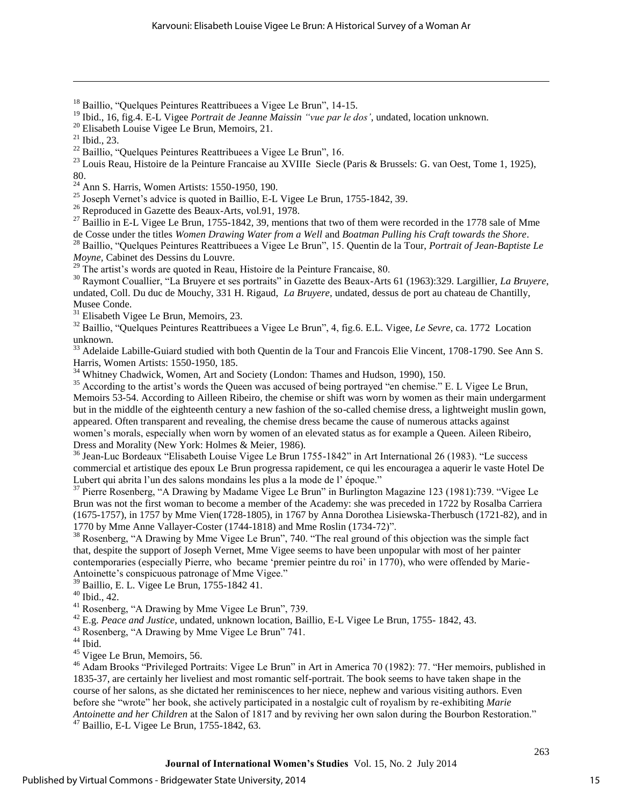- <sup>18</sup> Baillio, "Quelques Peintures Reattribuees a Vigee Le Brun", 14-15.
- <sup>19</sup> Ibid., 16, fig.4. E-L Vigee *Portrait de Jeanne Maissin "vue par le dos'*, undated, location unknown.

 $\overline{a}$ 

<sup>23</sup> Louis Reau, Histoire de la Peinture Francaise au XVIIIe Siecle (Paris & Brussels: G. van Oest, Tome 1, 1925), 80.

<sup>24</sup> Ann S. Harris, Women Artists: 1550-1950, 190.

<sup>25</sup> Joseph Vernet's advice is quoted in Baillio, E-L Vigee Le Brun, 1755-1842, 39.

<sup>26</sup> Reproduced in Gazette des Beaux-Arts, vol.91, 1978.

<sup>27</sup> Baillio in E-L Vigee Le Brun, 1755-1842, 39, mentions that two of them were recorded in the 1778 sale of Mme de Cosse under the titles *Women Drawing Water from a Well* and *Boatman Pulling his Craft towards the Shore*.

<sup>28</sup> Baillio, "Quelques Peintures Reattribuees a Vigee Le Brun", 15. Quentin de la Tour, *Portrait of Jean-Baptiste Le Moyne,* Cabinet des Dessins du Louvre.

 $29$  The artist's words are quoted in Reau, Histoire de la Peinture Francaise, 80.

<sup>30</sup> Raymont Couallier, "La Bruyere et ses portraits" in Gazette des Beaux-Arts 61 (1963):329. Largillier, *La Bruyere*, undated, Coll. Du duc de Mouchy, 331 H. Rigaud, *La Bruyere,* undated, dessus de port au chateau de Chantilly, Musee Conde.

<sup>31</sup> Elisabeth Vigee Le Brun, Memoirs, 23.

<sup>32</sup> Baillio, "Quelques Peintures Reattribuees a Vigee Le Brun", 4, fig.6. E.L. Vigee, *Le Sevre*, ca. 1772 Location unknown.

<sup>33</sup> Adelaide Labille-Guiard studied with both Quentin de la Tour and Francois Elie Vincent, 1708-1790. See Ann S. Harris, Women Artists: 1550-1950, 185.

<sup>34</sup> Whitney Chadwick, Women, Art and Society (London: Thames and Hudson, 1990), 150.

<sup>35</sup> According to the artist's words the Queen was accused of being portrayed "en chemise." E. L Vigee Le Brun, Memoirs 53-54. According to Ailleen Ribeiro, the chemise or shift was worn by women as their main undergarment but in the middle of the eighteenth century a new fashion of the so-called chemise dress, a lightweight muslin gown, appeared. Often transparent and revealing, the chemise dress became the cause of numerous attacks against women's morals, especially when worn by women of an elevated status as for example a Queen. Aileen Ribeiro, Dress and Morality (New York: Holmes & Meier, 1986).

<sup>36</sup> Jean-Luc Bordeaux "Elisabeth Louise Vigee Le Brun 1755-1842" in Art International 26 (1983). "Le success commercial et artistique des epoux Le Brun progressa rapidement, ce qui les encouragea a aquerir le vaste Hotel De Lubert qui abrita l'un des salons mondains les plus a la mode de l'époque."

<sup>37</sup> Pierre Rosenberg, "A Drawing by Madame Vigee Le Brun" in Burlington Magazine 123 (1981):739. "Vigee Le Brun was not the first woman to become a member of the Academy: she was preceded in 1722 by Rosalba Carriera (1675-1757), in 1757 by Mme Vien(1728-1805), in 1767 by Anna Dorothea Lisiewska-Therbusch (1721-82), and in 1770 by Mme Anne Vallayer-Coster (1744-1818) and Mme Roslin (1734-72)".

<sup>38</sup> Rosenberg, "A Drawing by Mme Vigee Le Brun", 740. "The real ground of this objection was the simple fact that, despite the support of Joseph Vernet, Mme Vigee seems to have been unpopular with most of her painter contemporaries (especially Pierre, who became 'premier peintre du roi' in 1770), who were offended by Marie-Antoinette's conspicuous patronage of Mme Vigee."

<sup>39</sup> Baillio, E. L. Vigee Le Brun, 1755-1842 41.

<sup>40</sup> Ibid., 42.

<sup>41</sup> Rosenberg, "A Drawing by Mme Vigee Le Brun", 739.

<sup>42</sup> E.g. *Peace and Justice*, undated, unknown location, Baillio, E-L Vigee Le Brun, 1755- 1842, 43.

<sup>43</sup> Rosenberg, "A Drawing by Mme Vigee Le Brun" 741.

 $^{44}$  Ibid.

<sup>45</sup> Vigee Le Brun, Memoirs, 56.

<sup>46</sup> Adam Brooks "Privileged Portraits: Vigee Le Brun" in Art in America 70 (1982): 77. "Her memoirs, published in 1835-37, are certainly her liveliest and most romantic self-portrait. The book seems to have taken shape in the course of her salons, as she dictated her reminiscences to her niece, nephew and various visiting authors. Even before she "wrote" her book, she actively participated in a nostalgic cult of royalism by re-exhibiting *Marie Antoinette and her Children* at the Salon of 1817 and by reviving her own salon during the Bourbon Restoration."  $47$  Baillio, E-L Vigee Le Brun, 1755-1842, 63.

<sup>&</sup>lt;sup>20</sup> Elisabeth Louise Vigee Le Brun, Memoirs, 21.

 $^{21}$  Ibid., 23.

 $^{22}$  Baillio, "Quelques Peintures Reattribuees a Vigee Le Brun", 16.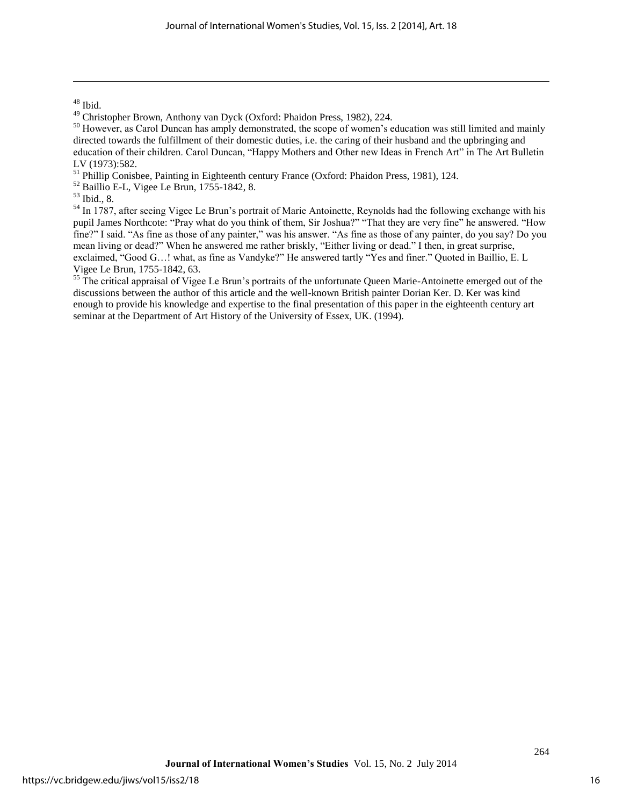$^{48}$  Ibid.

 $\overline{a}$ 

<sup>51</sup> Phillip Conisbee, Painting in Eighteenth century France (Oxford: Phaidon Press, 1981), 124.

 $52$  Baillio E-L, Vigee Le Brun, 1755-1842, 8.

<sup>54</sup> In 1787, after seeing Vigee Le Brun's portrait of Marie Antoinette, Reynolds had the following exchange with his pupil James Northcote: "Pray what do you think of them, Sir Joshua?" "That they are very fine" he answered. "How fine?" I said. "As fine as those of any painter," was his answer. "As fine as those of any painter, do you say? Do you mean living or dead?" When he answered me rather briskly, "Either living or dead." I then, in great surprise, exclaimed, "Good G…! what, as fine as Vandyke?" He answered tartly "Yes and finer." Quoted in Baillio, E. L Vigee Le Brun, 1755-1842, 63.

<sup>55</sup> The critical appraisal of Vigee Le Brun's portraits of the unfortunate Queen Marie-Antoinette emerged out of the discussions between the author of this article and the well-known British painter Dorian Ker. D. Ker was kind enough to provide his knowledge and expertise to the final presentation of this paper in the eighteenth century art seminar at the Department of Art History of the University of Essex, UK. (1994).

<sup>49</sup> Christopher Brown, Anthony van Dyck (Oxford: Phaidon Press, 1982), 224.

<sup>&</sup>lt;sup>50</sup> However, as Carol Duncan has amply demonstrated, the scope of women's education was still limited and mainly directed towards the fulfillment of their domestic duties, i.e. the caring of their husband and the upbringing and education of their children. Carol Duncan, "Happy Mothers and Other new Ideas in French Art" in The Art Bulletin LV (1973):582.

<sup>53</sup> Ibid., 8.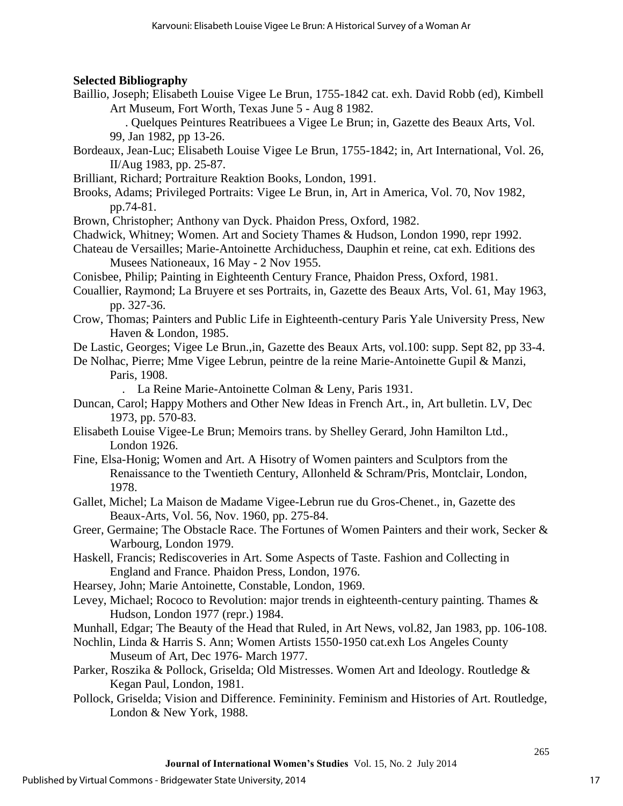## **Selected Bibliography**

Baillio, Joseph; Elisabeth Louise Vigee Le Brun, 1755-1842 cat. exh. David Robb (ed), Kimbell Art Museum, Fort Worth, Texas June 5 - Aug 8 1982.

 . Quelques Peintures Reatribuees a Vigee Le Brun; in, Gazette des Beaux Arts, Vol. 99, Jan 1982, pp 13-26.

- Bordeaux, Jean-Luc; Elisabeth Louise Vigee Le Brun, 1755-1842; in, Art International, Vol. 26, II/Aug 1983, pp. 25-87.
- Brilliant, Richard; Portraiture Reaktion Books, London, 1991.
- Brooks, Adams; Privileged Portraits: Vigee Le Brun, in, Art in America, Vol. 70, Nov 1982, pp.74-81.
- Brown, Christopher; Anthony van Dyck. Phaidon Press, Oxford, 1982.
- Chadwick, Whitney; Women. Art and Society Thames & Hudson, London 1990, repr 1992.
- Chateau de Versailles; Marie-Antoinette Archiduchess, Dauphin et reine, cat exh. Editions des Musees Nationeaux, 16 May - 2 Nov 1955.
- Conisbee, Philip; Painting in Eighteenth Century France, Phaidon Press, Oxford, 1981.
- Couallier, Raymond; La Bruyere et ses Portraits, in, Gazette des Beaux Arts, Vol. 61, May 1963, pp. 327-36.
- Crow, Thomas; Painters and Public Life in Eighteenth-century Paris Yale University Press, New Haven & London, 1985.
- De Lastic, Georges; Vigee Le Brun.,in, Gazette des Beaux Arts, vol.100: supp. Sept 82, pp 33-4.

De Nolhac, Pierre; Mme Vigee Lebrun, peintre de la reine Marie-Antoinette Gupil & Manzi, Paris, 1908.

. La Reine Marie-Antoinette Colman & Leny, Paris 1931.

- Duncan, Carol; Happy Mothers and Other New Ideas in French Art., in, Art bulletin. LV, Dec 1973, pp. 570-83.
- Elisabeth Louise Vigee-Le Brun; Memoirs trans. by Shelley Gerard, John Hamilton Ltd., London 1926.
- Fine, Elsa-Honig; Women and Art. A Hisotry of Women painters and Sculptors from the Renaissance to the Twentieth Century, Allonheld & Schram/Pris, Montclair, London, 1978.
- Gallet, Michel; La Maison de Madame Vigee-Lebrun rue du Gros-Chenet., in, Gazette des Beaux-Arts, Vol. 56, Nov. 1960, pp. 275-84.
- Greer, Germaine; The Obstacle Race. The Fortunes of Women Painters and their work, Secker & Warbourg, London 1979.
- Haskell, Francis; Rediscoveries in Art. Some Aspects of Taste. Fashion and Collecting in England and France. Phaidon Press, London, 1976.
- Hearsey, John; Marie Antoinette, Constable, London, 1969.
- Levey, Michael; Rococo to Revolution: major trends in eighteenth-century painting. Thames & Hudson, London 1977 (repr.) 1984.

Munhall, Edgar; The Beauty of the Head that Ruled, in Art News, vol.82, Jan 1983, pp. 106-108.

- Nochlin, Linda & Harris S. Ann; Women Artists 1550-1950 cat.exh Los Angeles County Museum of Art, Dec 1976- March 1977.
- Parker, Roszika & Pollock, Griselda; Old Mistresses. Women Art and Ideology. Routledge & Kegan Paul, London, 1981.
- Pollock, Griselda; Vision and Difference. Femininity. Feminism and Histories of Art. Routledge, London & New York, 1988.